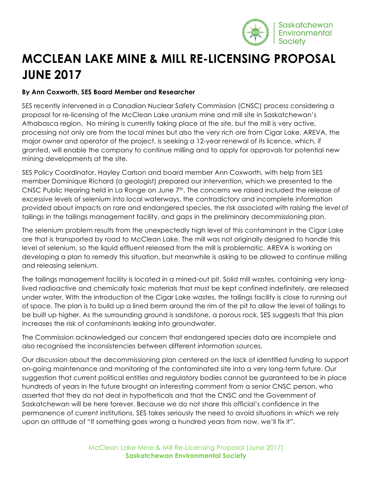

## **MCCLEAN LAKE MINE & MILL RE-LICENSING PROPOSAL JUNE 2017**

## **By Ann Coxworth, SES Board Member and Researcher**

SES recently intervened in a Canadian Nuclear Safety Commission (CNSC) process considering a proposal for re-licensing of the McClean Lake uranium mine and mill site in Saskatchewan's Athabasca region. No mining is currently taking place at the site, but the mill is very active, processing not only ore from the local mines but also the very rich ore from Cigar Lake. AREVA, the major owner and operator of the project, is seeking a 12-year renewal of its licence, which, if granted, will enable the company to continue milling and to apply for approvals for potential new mining developments at the site.

SES Policy Coordinator, Hayley Carlson and board member Ann Coxworth, with help from SES member Dominique Richard (a geologist) prepared our intervention, which we presented to the CNSC Public Hearing held in La Ronge on June 7<sup>th</sup>. The concerns we raised included the release of excessive levels of selenium into local waterways, the contradictory and incomplete information provided about impacts on rare and endangered species, the risk associated with raising the level of tailings in the tailings management facility, and gaps in the preliminary decommissioning plan.

The selenium problem results from the unexpectedly high level of this contaminant in the Cigar Lake ore that is transported by road to McClean Lake. The mill was not originally designed to handle this level of selenium, so the liquid effluent released from the mill is problematic. AREVA is working on developing a plan to remedy this situation, but meanwhile is asking to be allowed to continue milling and releasing selenium.

The tailings management facility is located in a mined-out pit. Solid mill wastes, containing very longlived radioactive and chemically toxic materials that must be kept confined indefinitely, are released under water. With the introduction of the Cigar Lake wastes, the tailings facility is close to running out of space. The plan is to build up a lined berm around the rim of the pit to allow the level of tailings to be built up higher. As the surrounding ground is sandstone, a porous rock, SES suggests that this plan increases the risk of contaminants leaking into groundwater.

The Commission acknowledged our concern that endangered species data are incomplete and also recognised the inconsistencies between different information sources.

Our discussion about the decommissioning plan centered on the lack of identified funding to support on-going maintenance and monitoring of the contaminated site into a very long-term future. Our suggestion that current political entities and regulatory bodies cannot be guaranteed to be in place hundreds of years in the future brought an interesting comment from a senior CNSC person, who asserted that they do not deal in hypotheticals and that the CNSC and the Government of Saskatchewan will be here forever. Because we do not share this official's confidence in the permanence of current institutions, SES takes seriously the need to avoid situations in which we rely upon an attitude of "If something goes wrong a hundred years from now, we'll fix it".